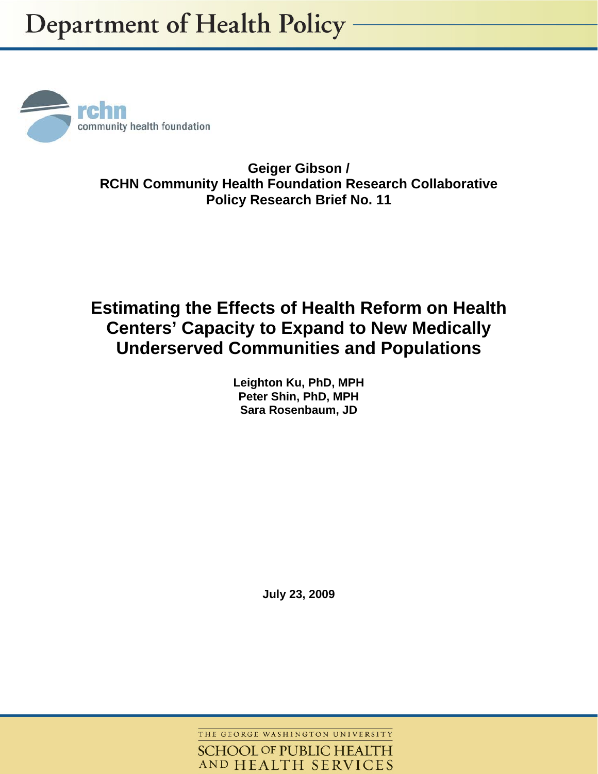

**Geiger Gibson / RCHN Community Health Foundation Research Collaborative Policy Research Brief No. 11** 

# **Estimating the Effects of Health Reform on Health Centers' Capacity to Expand to New Medically Underserved Communities and Populations**

**Leighton Ku, PhD, MPH Peter Shin, PhD, MPH Sara Rosenbaum, JD** 

**July 23, 2009** 

THE GEORGE WASHINGTON UNIVERSITY

**SCHOOL OF PUBLIC HEALTH** AND HEALTH SERVICES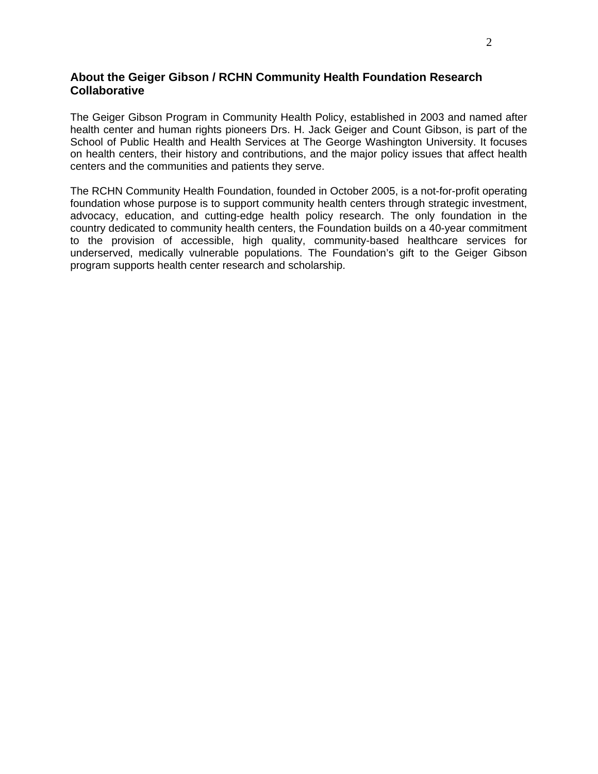### **About the Geiger Gibson / RCHN Community Health Foundation Research Collaborative**

The Geiger Gibson Program in Community Health Policy, established in 2003 and named after health center and human rights pioneers Drs. H. Jack Geiger and Count Gibson, is part of the School of Public Health and Health Services at The George Washington University. It focuses on health centers, their history and contributions, and the major policy issues that affect health centers and the communities and patients they serve.

The RCHN Community Health Foundation, founded in October 2005, is a not-for-profit operating foundation whose purpose is to support community health centers through strategic investment, advocacy, education, and cutting-edge health policy research. The only foundation in the country dedicated to community health centers, the Foundation builds on a 40-year commitment to the provision of accessible, high quality, community-based healthcare services for underserved, medically vulnerable populations. The Foundation's gift to the Geiger Gibson program supports health center research and scholarship.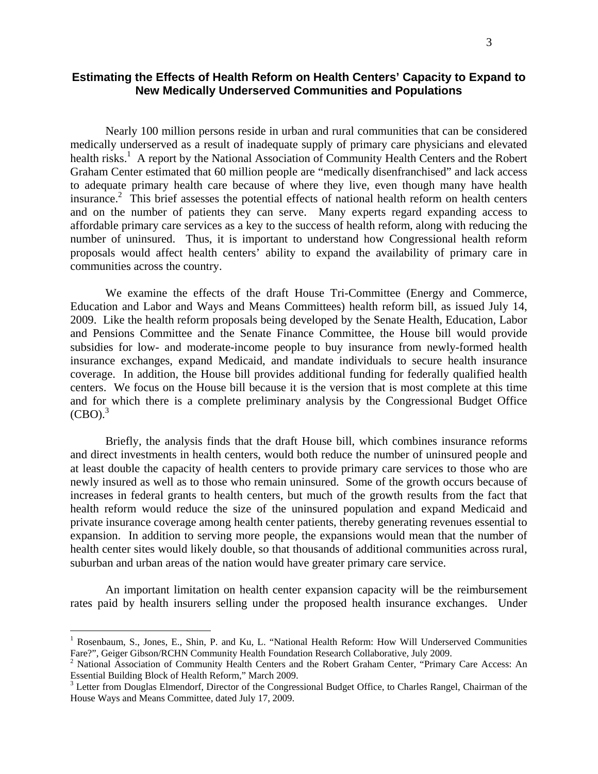## **Estimating the Effects of Health Reform on Health Centers' Capacity to Expand to New Medically Underserved Communities and Populations**

Nearly 100 million persons reside in urban and rural communities that can be considered medically underserved as a result of inadequate supply of primary care physicians and elevated health risks.<sup>1</sup> A report by the National Association of Community Health Centers and the Robert Graham Center estimated that 60 million people are "medically disenfranchised" and lack access to adequate primary health care because of where they live, even though many have health insurance.<sup>2</sup> This brief assesses the potential effects of national health reform on health centers and on the number of patients they can serve. Many experts regard expanding access to affordable primary care services as a key to the success of health reform, along with reducing the number of uninsured. Thus, it is important to understand how Congressional health reform proposals would affect health centers' ability to expand the availability of primary care in communities across the country.

We examine the effects of the draft House Tri-Committee (Energy and Commerce, Education and Labor and Ways and Means Committees) health reform bill, as issued July 14, 2009. Like the health reform proposals being developed by the Senate Health, Education, Labor and Pensions Committee and the Senate Finance Committee, the House bill would provide subsidies for low- and moderate-income people to buy insurance from newly-formed health insurance exchanges, expand Medicaid, and mandate individuals to secure health insurance coverage. In addition, the House bill provides additional funding for federally qualified health centers. We focus on the House bill because it is the version that is most complete at this time and for which there is a complete preliminary analysis by the Congressional Budget Office  $(CBO).$ <sup>3</sup>

 Briefly, the analysis finds that the draft House bill, which combines insurance reforms and direct investments in health centers, would both reduce the number of uninsured people and at least double the capacity of health centers to provide primary care services to those who are newly insured as well as to those who remain uninsured. Some of the growth occurs because of increases in federal grants to health centers, but much of the growth results from the fact that health reform would reduce the size of the uninsured population and expand Medicaid and private insurance coverage among health center patients, thereby generating revenues essential to expansion. In addition to serving more people, the expansions would mean that the number of health center sites would likely double, so that thousands of additional communities across rural, suburban and urban areas of the nation would have greater primary care service.

An important limitation on health center expansion capacity will be the reimbursement rates paid by health insurers selling under the proposed health insurance exchanges. Under

1

<sup>&</sup>lt;sup>1</sup> Rosenbaum, S., Jones, E., Shin, P. and Ku, L. "National Health Reform: How Will Underserved Communities Fare?", Geiger Gibson/RCHN Community Health Foundation Research Collaborative, July 2009.

<sup>&</sup>lt;sup>2</sup> National Association of Community Health Centers and the Robert Graham Center, "Primary Care Access: An Essential Building Block of Health Reform," March 2009.

<sup>&</sup>lt;sup>3</sup> Letter from Douglas Elmendorf, Director of the Congressional Budget Office, to Charles Rangel, Chairman of the House Ways and Means Committee, dated July 17, 2009.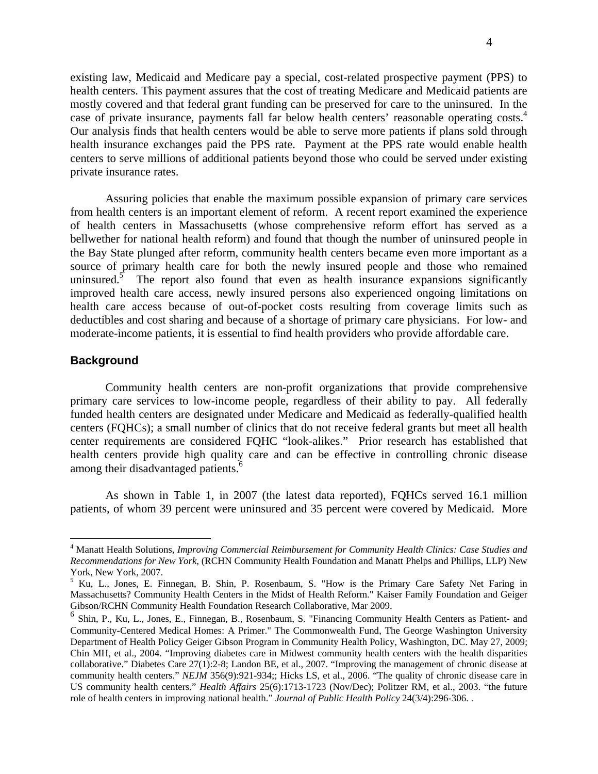existing law, Medicaid and Medicare pay a special, cost-related prospective payment (PPS) to health centers. This payment assures that the cost of treating Medicare and Medicaid patients are mostly covered and that federal grant funding can be preserved for care to the uninsured. In the case of private insurance, payments fall far below health centers' reasonable operating costs.<sup>4</sup> Our analysis finds that health centers would be able to serve more patients if plans sold through health insurance exchanges paid the PPS rate. Payment at the PPS rate would enable health centers to serve millions of additional patients beyond those who could be served under existing private insurance rates.

Assuring policies that enable the maximum possible expansion of primary care services from health centers is an important element of reform. A recent report examined the experience of health centers in Massachusetts (whose comprehensive reform effort has served as a bellwether for national health reform) and found that though the number of uninsured people in the Bay State plunged after reform, community health centers became even more important as a source of primary health care for both the newly insured people and those who remained uninsured.<sup>5</sup> The report also found that even as health insurance expansions significantly improved health care access, newly insured persons also experienced ongoing limitations on health care access because of out-of-pocket costs resulting from coverage limits such as deductibles and cost sharing and because of a shortage of primary care physicians. For low- and moderate-income patients, it is essential to find health providers who provide affordable care.

#### **Background**

 $\overline{a}$ 

 Community health centers are non-profit organizations that provide comprehensive primary care services to low-income people, regardless of their ability to pay. All federally funded health centers are designated under Medicare and Medicaid as federally-qualified health centers (FQHCs); a small number of clinics that do not receive federal grants but meet all health center requirements are considered FQHC "look-alikes." Prior research has established that health centers provide high quality care and can be effective in controlling chronic disease among their disadvantaged patients.<sup>6</sup>

As shown in Table 1, in 2007 (the latest data reported), FQHCs served 16.1 million patients, of whom 39 percent were uninsured and 35 percent were covered by Medicaid. More

<sup>4</sup> Manatt Health Solutions, *Improving Commercial Reimbursement for Community Health Clinics: Case Studies and Recommendations for New York,* (RCHN Community Health Foundation and Manatt Phelps and Phillips, LLP) New York, New York, 2007.

<sup>&</sup>lt;sup>5</sup> Ku, L., Jones, E. Finnegan, B. Shin, P. Rosenbaum, S. "How is the Primary Care Safety Net Faring in Massachusetts? Community Health Centers in the Midst of Health Reform." Kaiser Family Foundation and Geiger Gibson/RCHN Community Health Foundation Research Collaborative, Mar 2009.

<sup>6</sup> Shin, P., Ku, L., Jones, E., Finnegan, B., Rosenbaum, S. "Financing Community Health Centers as Patient- and Community-Centered Medical Homes: A Primer." The Commonwealth Fund, The George Washington University Department of Health Policy Geiger Gibson Program in Community Health Policy, Washington, DC. May 27, 2009; Chin MH, et al., 2004. "Improving diabetes care in Midwest community health centers with the health disparities collaborative." Diabetes Care 27(1):2-8; Landon BE, et al., 2007. "Improving the management of chronic disease at community health centers." *NEJM* 356(9):921-934;; Hicks LS, et al., 2006. "The quality of chronic disease care in US community health centers." *Health Affairs* 25(6):1713-1723 (Nov/Dec); Politzer RM, et al., 2003. "the future role of health centers in improving national health." *Journal of Public Health Policy* 24(3/4):296-306. .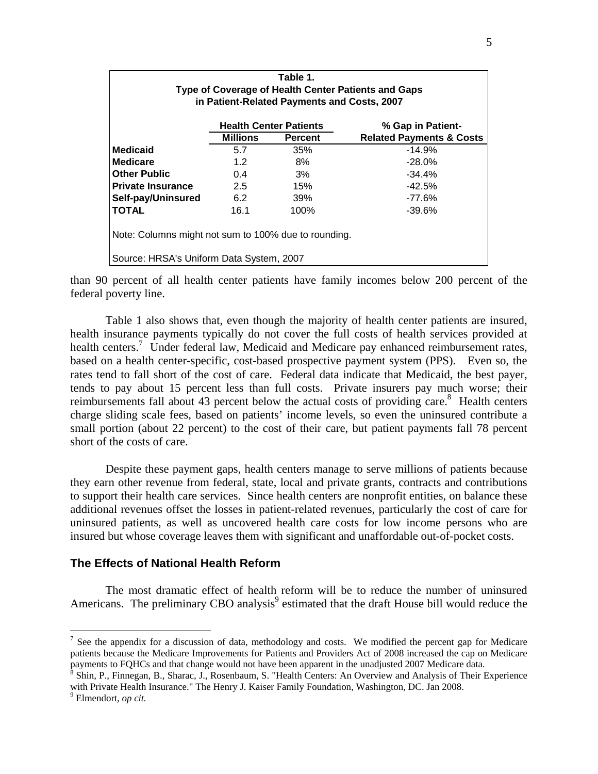| Table 1.<br>Type of Coverage of Health Center Patients and Gaps<br>in Patient-Related Payments and Costs, 2007 |                               |                |                                     |  |  |  |  |
|----------------------------------------------------------------------------------------------------------------|-------------------------------|----------------|-------------------------------------|--|--|--|--|
|                                                                                                                | <b>Health Center Patients</b> |                | % Gap in Patient-                   |  |  |  |  |
|                                                                                                                | <b>Millions</b>               | <b>Percent</b> | <b>Related Payments &amp; Costs</b> |  |  |  |  |
| <b>Medicaid</b>                                                                                                | 5.7                           | 35%            | $-14.9%$                            |  |  |  |  |
| <b>Medicare</b>                                                                                                | 1.2                           | 8%             | $-28.0%$                            |  |  |  |  |
| <b>Other Public</b>                                                                                            | 0.4                           | 3%             | $-34.4%$                            |  |  |  |  |
| <b>Private Insurance</b>                                                                                       | $2.5^{\circ}$                 | 15%            | $-42.5%$                            |  |  |  |  |
| Self-pay/Uninsured                                                                                             | 6.2                           | <b>39%</b>     | $-77.6%$                            |  |  |  |  |
| <b>TOTAL</b>                                                                                                   | 16.1                          | 100%           | $-39.6%$                            |  |  |  |  |
| Note: Columns might not sum to 100% due to rounding.                                                           |                               |                |                                     |  |  |  |  |
| Source: HRSA's Uniform Data System, 2007                                                                       |                               |                |                                     |  |  |  |  |

than 90 percent of all health center patients have family incomes below 200 percent of the federal poverty line.

Table 1 also shows that, even though the majority of health center patients are insured, health insurance payments typically do not cover the full costs of health services provided at health centers.<sup>7</sup> Under federal law, Medicaid and Medicare pay enhanced reimbursement rates, based on a health center-specific, cost-based prospective payment system (PPS). Even so, the rates tend to fall short of the cost of care. Federal data indicate that Medicaid, the best payer, tends to pay about 15 percent less than full costs. Private insurers pay much worse; their reimbursements fall about 43 percent below the actual costs of providing care. $8$  Health centers charge sliding scale fees, based on patients' income levels, so even the uninsured contribute a small portion (about 22 percent) to the cost of their care, but patient payments fall 78 percent short of the costs of care.

 Despite these payment gaps, health centers manage to serve millions of patients because they earn other revenue from federal, state, local and private grants, contracts and contributions to support their health care services. Since health centers are nonprofit entities, on balance these additional revenues offset the losses in patient-related revenues, particularly the cost of care for uninsured patients, as well as uncovered health care costs for low income persons who are insured but whose coverage leaves them with significant and unaffordable out-of-pocket costs.

#### **The Effects of National Health Reform**

The most dramatic effect of health reform will be to reduce the number of uninsured Americans. The preliminary CBO analysis<sup>9</sup> estimated that the draft House bill would reduce the

 $\overline{a}$ 

<sup>&</sup>lt;sup>7</sup> See the appendix for a discussion of data, methodology and costs. We modified the percent gap for Medicare patients because the Medicare Improvements for Patients and Providers Act of 2008 increased the cap on Medicare payments to FQHCs and that change would not have been apparent in the unadjusted 2007 Medicare data.<br><sup>8</sup> Shin, P., Finnegan, B., Sharac, J., Rosenbaum, S. "Health Centers: An Overview and Analysis of Their Experience

with Private Health Insurance." The Henry J. Kaiser Family Foundation, Washington, DC. Jan 2008.

Elmendort, *op cit.*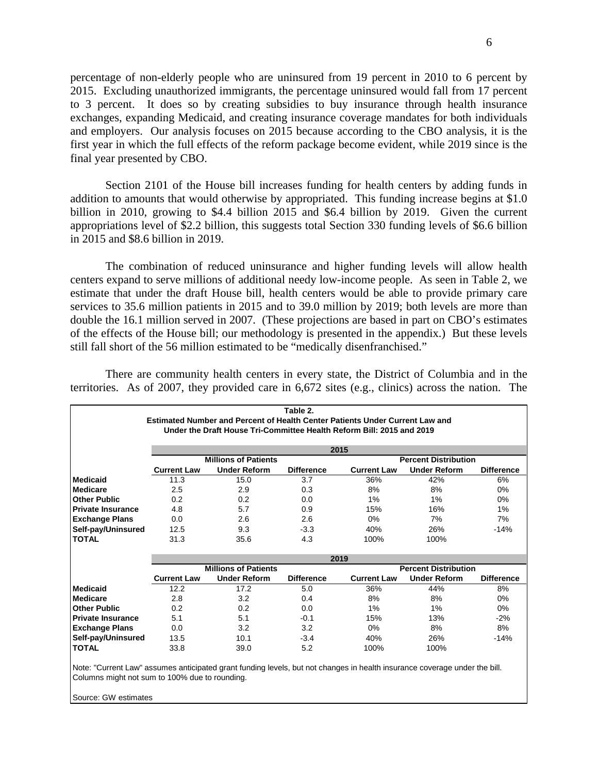percentage of non-elderly people who are uninsured from 19 percent in 2010 to 6 percent by 2015. Excluding unauthorized immigrants, the percentage uninsured would fall from 17 percent to 3 percent. It does so by creating subsidies to buy insurance through health insurance exchanges, expanding Medicaid, and creating insurance coverage mandates for both individuals and employers. Our analysis focuses on 2015 because according to the CBO analysis, it is the first year in which the full effects of the reform package become evident, while 2019 since is the final year presented by CBO.

 Section 2101 of the House bill increases funding for health centers by adding funds in addition to amounts that would otherwise by appropriated. This funding increase begins at \$1.0 billion in 2010, growing to \$4.4 billion 2015 and \$6.4 billion by 2019. Given the current appropriations level of \$2.2 billion, this suggests total Section 330 funding levels of \$6.6 billion in 2015 and \$8.6 billion in 2019.

 The combination of reduced uninsurance and higher funding levels will allow health centers expand to serve millions of additional needy low-income people. As seen in Table 2, we estimate that under the draft House bill, health centers would be able to provide primary care services to 35.6 million patients in 2015 and to 39.0 million by 2019; both levels are more than double the 16.1 million served in 2007. (These projections are based in part on CBO's estimates of the effects of the House bill; our methodology is presented in the appendix.) But these levels still fall short of the 56 million estimated to be "medically disenfranchised."

 There are community health centers in every state, the District of Columbia and in the territories. As of 2007, they provided care in 6,672 sites (e.g., clinics) across the nation. The

| Table 2.                                                                                                                   |                    |                             |                   |                             |                             |                   |  |  |
|----------------------------------------------------------------------------------------------------------------------------|--------------------|-----------------------------|-------------------|-----------------------------|-----------------------------|-------------------|--|--|
| Estimated Number and Percent of Health Center Patients Under Current Law and                                               |                    |                             |                   |                             |                             |                   |  |  |
| Under the Draft House Tri-Committee Health Reform Bill: 2015 and 2019                                                      |                    |                             |                   |                             |                             |                   |  |  |
|                                                                                                                            |                    |                             |                   |                             |                             |                   |  |  |
|                                                                                                                            |                    | 2015                        |                   |                             |                             |                   |  |  |
|                                                                                                                            |                    | <b>Millions of Patients</b> |                   |                             | <b>Percent Distribution</b> |                   |  |  |
|                                                                                                                            | <b>Current Law</b> | <b>Under Reform</b>         | <b>Difference</b> | <b>Current Law</b>          | <b>Under Reform</b>         | <b>Difference</b> |  |  |
| Medicaid                                                                                                                   | 11.3               | 15.0                        | 3.7               | 36%                         | 42%                         | 6%                |  |  |
| <b>Medicare</b>                                                                                                            | 2.5                | 2.9                         | 0.3               | 8%                          | 8%                          | $0\%$             |  |  |
| <b>Other Public</b>                                                                                                        | 0.2                | 0.2                         | 0.0               | 1%                          | 1%                          | $0\%$             |  |  |
| <b>Private Insurance</b>                                                                                                   | 4.8                | 5.7                         | 0.9               | 15%                         | 16%                         | 1%                |  |  |
| <b>Exchange Plans</b>                                                                                                      | 0.0                | 2.6                         | 2.6               | 0%                          | 7%                          | 7%                |  |  |
| Self-pay/Uninsured                                                                                                         | 12.5               | 9.3                         | $-3.3$            | 40%                         | 26%                         | $-14%$            |  |  |
| <b>TOTAL</b>                                                                                                               | 31.3               | 35.6                        | 4.3               | 100%                        | 100%                        |                   |  |  |
|                                                                                                                            |                    |                             |                   |                             |                             |                   |  |  |
|                                                                                                                            |                    | 2019                        |                   |                             |                             |                   |  |  |
|                                                                                                                            |                    | <b>Millions of Patients</b> |                   | <b>Percent Distribution</b> |                             |                   |  |  |
|                                                                                                                            | <b>Current Law</b> | <b>Under Reform</b>         | <b>Difference</b> | <b>Current Law</b>          | <b>Under Reform</b>         | <b>Difference</b> |  |  |
| <b>Medicaid</b>                                                                                                            | 12.2               | 17.2                        | 5.0               | 36%                         | 44%                         | 8%                |  |  |
| <b>Medicare</b>                                                                                                            | 2.8                | 3.2                         | 0.4               | 8%                          | 8%                          | $0\%$             |  |  |
| <b>Other Public</b>                                                                                                        | 0.2                | 0.2                         | 0.0               | 1%                          | 1%                          | $0\%$             |  |  |
| <b>Private Insurance</b>                                                                                                   | 5.1                | 5.1                         | $-0.1$            | 15%                         | 13%                         | $-2%$             |  |  |
| <b>Exchange Plans</b>                                                                                                      | 0.0                | 3.2                         | 3.2               | 0%                          | 8%                          | 8%                |  |  |
| Self-pay/Uninsured                                                                                                         | 13.5               | 10.1                        | $-3.4$            | 40%                         | 26%                         | $-14%$            |  |  |
| <b>TOTAL</b>                                                                                                               | 33.8               | 39.0                        | 5.2               | 100%                        | 100%                        |                   |  |  |
|                                                                                                                            |                    |                             |                   |                             |                             |                   |  |  |
| Note: "Current Law" assumes anticipated grant funding levels, but not changes in health insurance coverage under the bill. |                    |                             |                   |                             |                             |                   |  |  |
| Columns might not sum to 100% due to rounding.                                                                             |                    |                             |                   |                             |                             |                   |  |  |

Source: GW estimates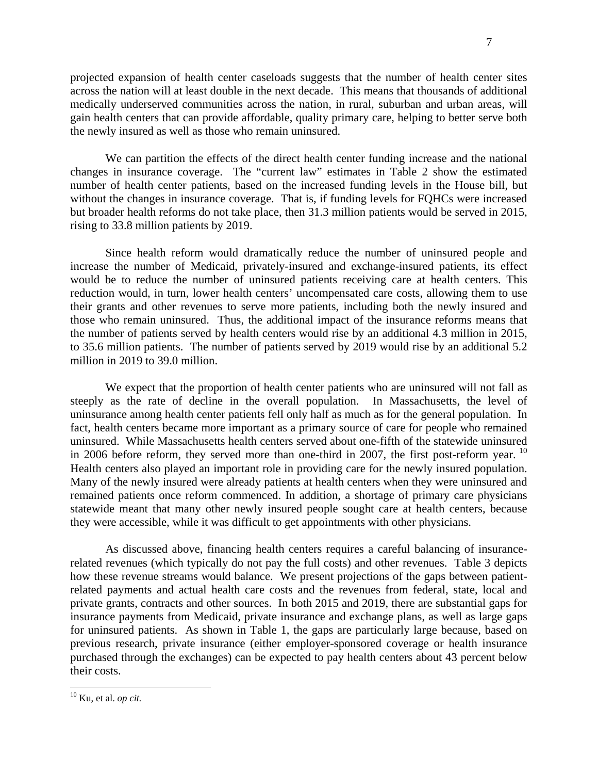projected expansion of health center caseloads suggests that the number of health center sites across the nation will at least double in the next decade. This means that thousands of additional medically underserved communities across the nation, in rural, suburban and urban areas, will gain health centers that can provide affordable, quality primary care, helping to better serve both the newly insured as well as those who remain uninsured.

 We can partition the effects of the direct health center funding increase and the national changes in insurance coverage. The "current law" estimates in Table 2 show the estimated number of health center patients, based on the increased funding levels in the House bill, but without the changes in insurance coverage. That is, if funding levels for FQHCs were increased but broader health reforms do not take place, then 31.3 million patients would be served in 2015, rising to 33.8 million patients by 2019.

 Since health reform would dramatically reduce the number of uninsured people and increase the number of Medicaid, privately-insured and exchange-insured patients, its effect would be to reduce the number of uninsured patients receiving care at health centers. This reduction would, in turn, lower health centers' uncompensated care costs, allowing them to use their grants and other revenues to serve more patients, including both the newly insured and those who remain uninsured. Thus, the additional impact of the insurance reforms means that the number of patients served by health centers would rise by an additional 4.3 million in 2015, to 35.6 million patients. The number of patients served by 2019 would rise by an additional 5.2 million in 2019 to 39.0 million.

We expect that the proportion of health center patients who are uninsured will not fall as steeply as the rate of decline in the overall population. In Massachusetts, the level of uninsurance among health center patients fell only half as much as for the general population. In fact, health centers became more important as a primary source of care for people who remained uninsured. While Massachusetts health centers served about one-fifth of the statewide uninsured in 2006 before reform, they served more than one-third in 2007, the first post-reform year.  $^{10}$ Health centers also played an important role in providing care for the newly insured population. Many of the newly insured were already patients at health centers when they were uninsured and remained patients once reform commenced. In addition, a shortage of primary care physicians statewide meant that many other newly insured people sought care at health centers, because they were accessible, while it was difficult to get appointments with other physicians.

 As discussed above, financing health centers requires a careful balancing of insurancerelated revenues (which typically do not pay the full costs) and other revenues. Table 3 depicts how these revenue streams would balance. We present projections of the gaps between patientrelated payments and actual health care costs and the revenues from federal, state, local and private grants, contracts and other sources. In both 2015 and 2019, there are substantial gaps for insurance payments from Medicaid, private insurance and exchange plans, as well as large gaps for uninsured patients. As shown in Table 1, the gaps are particularly large because, based on previous research, private insurance (either employer-sponsored coverage or health insurance purchased through the exchanges) can be expected to pay health centers about 43 percent below their costs.

<u>.</u>

<sup>10</sup> Ku, et al. *op cit.*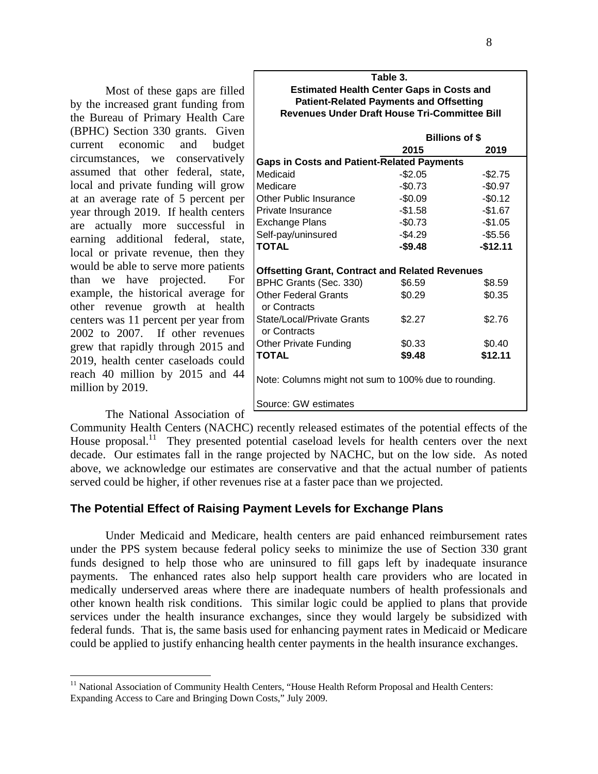Most of these gaps are filled by the increased grant funding from the Bureau of Primary Health Care (BPHC) Section 330 grants. Given current economic and budget circumstances, we conservatively assumed that other federal, state, local and private funding will grow at an average rate of 5 percent per year through 2019. If health centers are actually more successful in earning additional federal, state, local or private revenue, then they would be able to serve more patients than we have projected. For example, the historical average for other revenue growth at health centers was 11 percent per year from 2002 to 2007. If other revenues grew that rapidly through 2015 and 2019, health center caseloads could reach 40 million by 2015 and 44 million by 2019.

| Table 3.<br><b>Estimated Health Center Gaps in Costs and</b> |                       |           |  |  |  |  |
|--------------------------------------------------------------|-----------------------|-----------|--|--|--|--|
| <b>Patient-Related Payments and Offsetting</b>               |                       |           |  |  |  |  |
| <b>Revenues Under Draft House Tri-Committee Bill</b>         |                       |           |  |  |  |  |
|                                                              | <b>Billions of \$</b> |           |  |  |  |  |
|                                                              | 2015                  | 2019      |  |  |  |  |
| <b>Gaps in Costs and Patient-Related Payments</b>            |                       |           |  |  |  |  |
| Medicaid                                                     | $-$2.05$              | $-$2.75$  |  |  |  |  |
| Medicare                                                     | $-$0.73$              | $-$0.97$  |  |  |  |  |
| Other Public Insurance                                       | $-$0.09$              | $-$0.12$  |  |  |  |  |
| Private Insurance                                            | $-$1.58$              | $-$1.67$  |  |  |  |  |
| <b>Exchange Plans</b>                                        | $-$0.73$              | $-$1.05$  |  |  |  |  |
| Self-pay/uninsured                                           | $-$4.29$              | $-$5.56$  |  |  |  |  |
| TOTAL                                                        | $-$9.48$              | $-$12.11$ |  |  |  |  |
| <b>Offsetting Grant, Contract and Related Revenues</b>       |                       |           |  |  |  |  |
| BPHC Grants (Sec. 330)                                       | \$6.59                | \$8.59    |  |  |  |  |
| <b>Other Federal Grants</b><br>or Contracts                  | \$0.29                | \$0.35    |  |  |  |  |
| <b>State/Local/Private Grants</b><br>or Contracts            | \$2.27                | \$2.76    |  |  |  |  |
| <b>Other Private Funding</b>                                 | \$0.33                | \$0.40    |  |  |  |  |
| TOTAL                                                        | \$9.48                | \$12.11   |  |  |  |  |
| Note: Columns might not sum to 100% due to rounding.         |                       |           |  |  |  |  |
| Source: GW estimates                                         |                       |           |  |  |  |  |

The National Association of

 $\overline{a}$ 

Community Health Centers (NACHC) recently released estimates of the potential effects of the House proposal.<sup>11</sup> They presented potential caseload levels for health centers over the next decade. Our estimates fall in the range projected by NACHC, but on the low side. As noted above, we acknowledge our estimates are conservative and that the actual number of patients served could be higher, if other revenues rise at a faster pace than we projected.

#### **The Potential Effect of Raising Payment Levels for Exchange Plans**

Under Medicaid and Medicare, health centers are paid enhanced reimbursement rates under the PPS system because federal policy seeks to minimize the use of Section 330 grant funds designed to help those who are uninsured to fill gaps left by inadequate insurance payments. The enhanced rates also help support health care providers who are located in medically underserved areas where there are inadequate numbers of health professionals and other known health risk conditions. This similar logic could be applied to plans that provide services under the health insurance exchanges, since they would largely be subsidized with federal funds. That is, the same basis used for enhancing payment rates in Medicaid or Medicare could be applied to justify enhancing health center payments in the health insurance exchanges.

<sup>&</sup>lt;sup>11</sup> National Association of Community Health Centers, "House Health Reform Proposal and Health Centers: Expanding Access to Care and Bringing Down Costs," July 2009.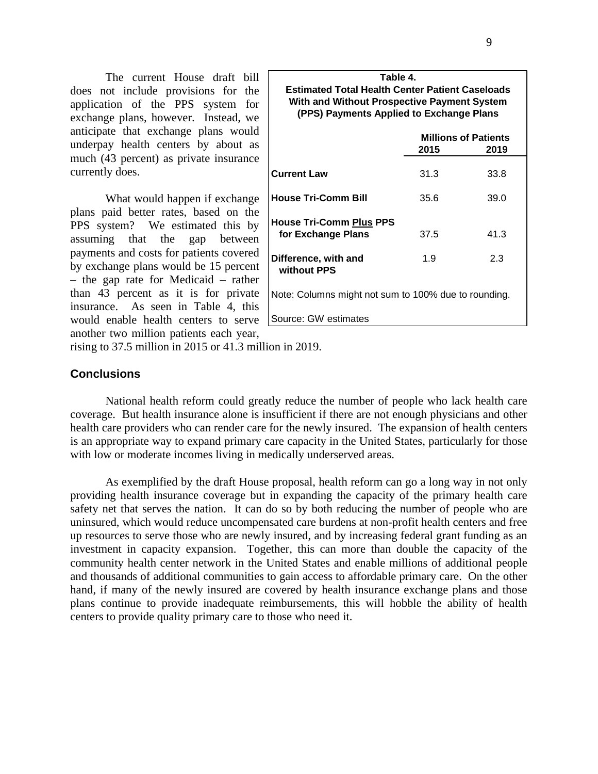The current House draft bill does not include provisions for the application of the PPS system for exchange plans, however. Instead, we anticipate that exchange plans would underpay health centers by about as much (43 percent) as private insurance currently does.

What would happen if exchange plans paid better rates, based on the PPS system? We estimated this by assuming that the gap between payments and costs for patients covered by exchange plans would be 15 percent – the gap rate for Medicaid – rather than 43 percent as it is for private insurance. As seen in Table 4, this would enable health centers to serve another two million patients each year,

| Table 4.                                                                                                                                          |                             |      |  |  |  |
|---------------------------------------------------------------------------------------------------------------------------------------------------|-----------------------------|------|--|--|--|
| <b>Estimated Total Health Center Patient Caseloads</b><br>With and Without Prospective Payment System<br>(PPS) Payments Applied to Exchange Plans |                             |      |  |  |  |
|                                                                                                                                                   | <b>Millions of Patients</b> |      |  |  |  |
|                                                                                                                                                   | 2015                        | 2019 |  |  |  |
| <b>Current Law</b>                                                                                                                                | 31.3                        | 33.8 |  |  |  |
| <b>House Tri-Comm Bill</b>                                                                                                                        | 35.6                        | 39.0 |  |  |  |
| <b>House Tri-Comm Plus PPS</b>                                                                                                                    |                             |      |  |  |  |
| for Exchange Plans                                                                                                                                | 37.5                        | 41.3 |  |  |  |
| Difference, with and<br>without PPS                                                                                                               | 1.9                         | 2.3  |  |  |  |
| Note: Columns might not sum to 100% due to rounding.                                                                                              |                             |      |  |  |  |
| Source: GW estimates                                                                                                                              |                             |      |  |  |  |

rising to 37.5 million in 2015 or 41.3 million in 2019.

#### **Conclusions**

National health reform could greatly reduce the number of people who lack health care coverage. But health insurance alone is insufficient if there are not enough physicians and other health care providers who can render care for the newly insured. The expansion of health centers is an appropriate way to expand primary care capacity in the United States, particularly for those with low or moderate incomes living in medically underserved areas.

 As exemplified by the draft House proposal, health reform can go a long way in not only providing health insurance coverage but in expanding the capacity of the primary health care safety net that serves the nation. It can do so by both reducing the number of people who are uninsured, which would reduce uncompensated care burdens at non-profit health centers and free up resources to serve those who are newly insured, and by increasing federal grant funding as an investment in capacity expansion. Together, this can more than double the capacity of the community health center network in the United States and enable millions of additional people and thousands of additional communities to gain access to affordable primary care. On the other hand, if many of the newly insured are covered by health insurance exchange plans and those plans continue to provide inadequate reimbursements, this will hobble the ability of health centers to provide quality primary care to those who need it.